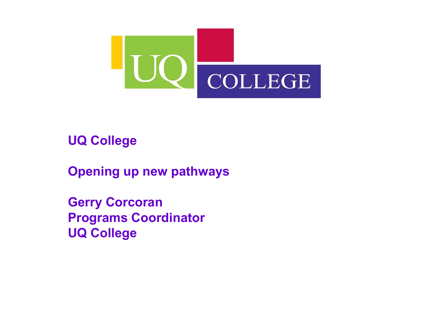

UQ College

Opening up new pathways

Gerry Corcoran Programs CoordinatorUQ College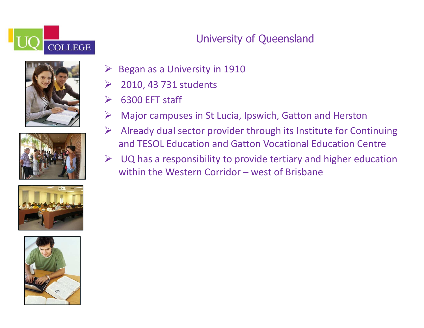

### University of Queensland









- $\blacktriangleright$ Began as a University in 1910
- $\blacktriangleright$ 2010, 43 731 students
- $\sum_{i=1}^{n}$ 6300 EFT staff
- $\sum_{i=1}^{n}$ Major campuses in St Lucia, Ipswich, Gatton and Herston
- Already dual sector provider through its Institute for Continuing<br>
and FESOL Education and Cotton Vecetianal Education Control and TESOL Education and Gatton Vocational Education Centre
- $\blacktriangleright$  UQ has a responsibility to provide tertiary and higher education within the Western Corridor – west of Brisbane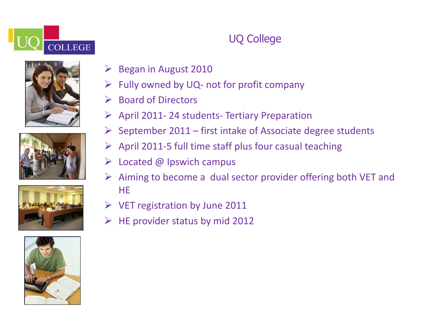







# UQ College

- **Began in August 2010**
- $\blacktriangleright$ Fully owned by UQ- not for profit company
- $\sum_{i=1}^{n}$ Board of Directors
- April 2011- 24 students- Tertiary Preparation
- $\triangleright$  September 2011 first intake of Associate degree students
- > April 2011-5 full time staff plus four casual teaching
- $\blacktriangleright$ Located @ Ipswich campus
- $\triangleright$  Aiming to become a dual sector provider offering both VET and HE
- VET registration by June 2011
- $\triangleright$  HE provider status by mid 2012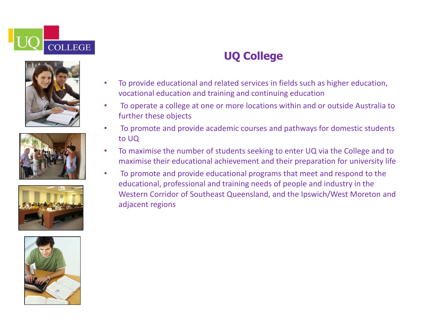









## UQ College

- • To provide educational and related services in fields such as higher education, vocational education and training and continuing education
- • To operate a college at one or more locations within and or outside Australia to further these objects
- • To promote and provide academic courses and pathways for domestic students to UQ
- To maximise the number of students seeking to enter UQ via the College and to •maximise their educational achievement and their preparation for university life
- • To promote and provide educational programs that meet and respond to the educational, professional and training needs of people and industry in the Western Corridor of Southeast Queensland, and the Ipswich/West Moreton and adjacent regions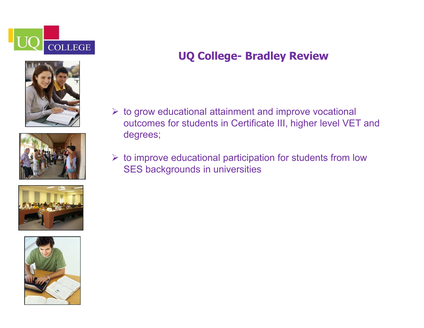







### UQ College- Bradley Review

- to grow educational attainment and improve vocational outcomes for students in Certificate III, higher level VET and degrees;
- $\triangleright$  to improve educational participation for students from low SES backgrounds in universities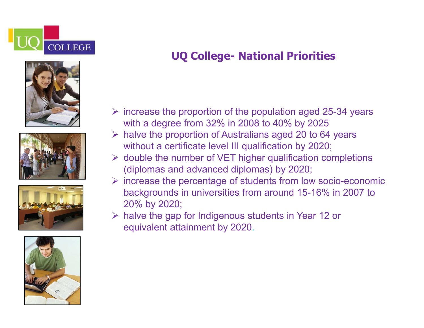









## UQ College- National Priorities

- $\triangleright$  increase the proportion of the population aged 25-34 years with a degree from 32% in 2008 to 40% by 2025
- halve the proportion of Australians aged 20 to 64 years highly built and the contract of the contract of the contract of the contract of the contract of the contract of the contract of the contract of the contract of the c without a certificate level III qualification by 2020;
- $\triangleright$  double the number of VET higher qualification completions (diplomas and advanced diplomas) by 2020;
- $\triangleright$  increase the percentage of students from low socio-economic<br>bookgrounds in universities from around 15,16% in 2007 to backgrounds in universities from around 15-16% in 2007 to20% by 2020;
- halve the gap for Indigenous students in Year 12 or equivalent attainment by 2020.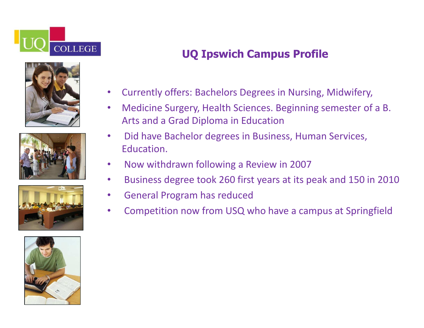









## UQ Ipswich Campus Profile

- $\bullet$ Currently offers: Bachelors Degrees in Nursing, Midwifery,
- $\bullet$  Medicine Surgery, Health Sciences. Beginning semester of a B. Arts and a Grad Diploma in Education
- • Did have Bachelor degrees in Business, Human Services, Education.
- $\bullet$ Now withdrawn following a Review in 2007
- •Business degree took 260 first years at its peak and 150 in 2010
- •General Program has reduced
- •Competition now from USQ who have a campus at Springfield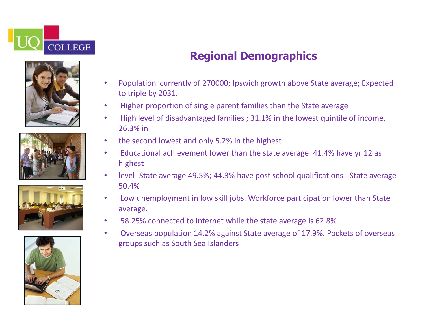









## Regional Demographics

- • Population currently of 270000; Ipswich growth above State average; Expected to triple by 2031.
- •Higher proportion of single parent families than the State average
- • High level of disadvantaged families ; 31.1% in the lowest quintile of income, 26.3% in
- $\bullet$ the second lowest and only 5.2% in the highest
- $\bullet$  Educational achievement lower than the state average. 41.4% have yr 12 as highest
- • level- State average 49.5%; 44.3% have post school qualifications - State average 50.4%
- Low unemployment in low skill jobs. Workforce participation lower than State •average.
- $\bullet$ 58.25% connected to internet while the state average is 62.8%.
- • Overseas population 14.2% against State average of 17.9%. Pockets of overseas groups such as South Sea Islanders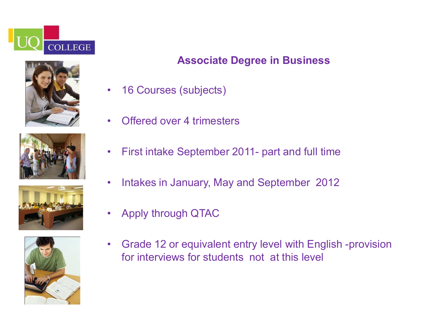









### Associate Degree in Business

- $\bullet$ 16 Courses (subjects)
- •Offered over 4 trimesters
- $\bullet$ First intake September 2011- part and full time
- $\bullet$ Intakes in January, May and September 2012
- $\bullet$ Apply through QTAC
- $\bullet$  Grade 12 or equivalent entry level with English -provision for interviews for students not at this level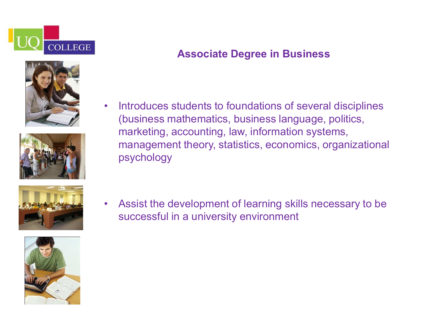



Associate Degree in Business

• Introduces students to foundations of several disciplines (business mathematics, business language, politics,marketing, accounting, law, information systems, management theory, statistics, economics, organizational psychology



• Assist the development of learning skills necessary to be successful in a university environment

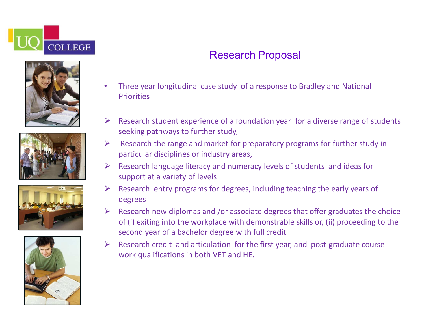







### Research Proposal

- • Three year longitudinal case study of a response to Bradley and National **Priorities**
- $\blacktriangleright$  Research student experience of a foundation year for a diverse range of students seeking pathways to further study,
- $\blacktriangleright$  Research the range and market for preparatory programs for further study in particular disciplines or industry areas,
- $\blacktriangleright$  Research language literacy and numeracy levels of students and ideas for support at a variety of levels
- $\blacktriangleright$  Research entry programs for degrees, including teaching the early years of degrees
- Research new diplomas and /or associate degrees that offer graduates the choice  $\epsilon$  (ii) outline into the used in the choice of (i) exiting into the workplace with demonstrable skills or, (ii) proceeding to the second year of a bachelor degree with full credit
- Research credit and articulation for the first year, and post-graduate course work qualifications in both VET and HE.